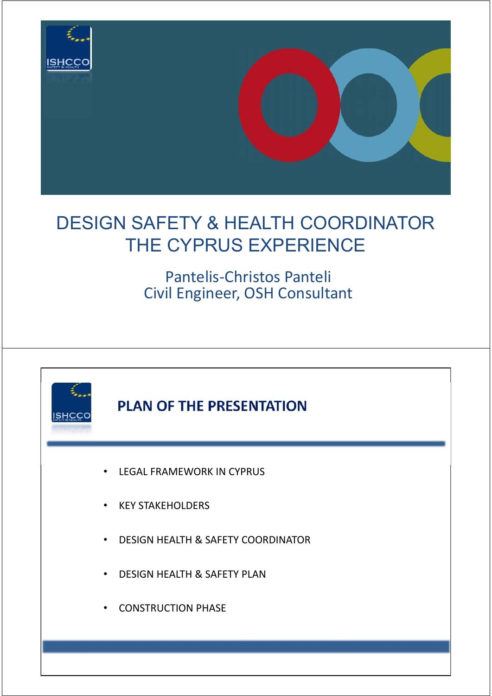

# DESIGN SAFETY & HEALTH COORDINATOR THE CYPRUS EXPERIENCE

## Pantelis‐Christos Panteli Civil Engineer, OSH Consultant

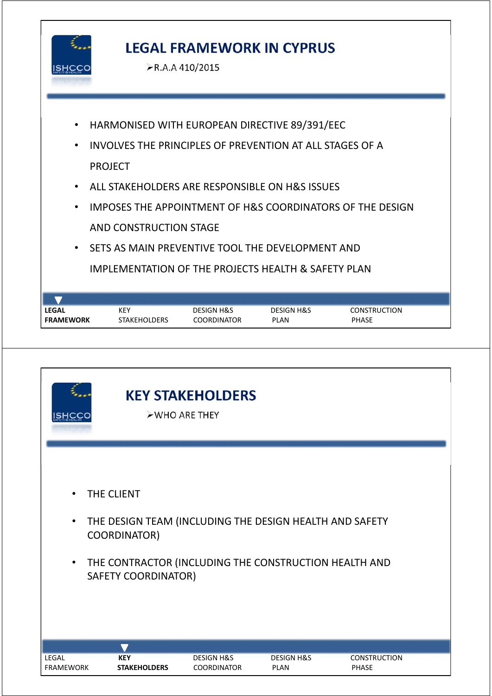

## **LEGAL FRAMEWORK IN CYPRUS**

R.A.A 410/2015

- HARMONISED WITH EUROPEAN DIRECTIVE 89/391/EEC
- INVOLVES THE PRINCIPLES OF PREVENTION AT ALL STAGES OF A PROJECT
- ALL STAKEHOLDERS ARE RESPONSIBLE ON H&S ISSUES
- IMPOSES THE APPOINTMENT OF H&S COORDINATORS OF THE DESIGN AND CONSTRUCTION STAGE
- SETS AS MAIN PREVENTIVE TOOL THE DEVELOPMENT AND IMPLEMENTATION OF THE PROJECTS HEALTH & SAFETY PLAN

| <b>LEGAL</b>     | KEY                 | <b>DESIGN H&amp;S</b> | <b>DESIGN H&amp;S</b> | <b>CONSTRUCTION</b> |  |
|------------------|---------------------|-----------------------|-----------------------|---------------------|--|
| <b>FRAMEWORK</b> | <b>STAKEHOLDERS</b> | <b>COORDINATOR</b>    | PLAN                  | <b>PHASE</b>        |  |

| ISHCCO                              |                                                                                                                                                                              | <b>KEY STAKEHOLDERS</b><br>>WHO ARE THEY    |                                      |                                     |
|-------------------------------------|------------------------------------------------------------------------------------------------------------------------------------------------------------------------------|---------------------------------------------|--------------------------------------|-------------------------------------|
| $\bullet$<br>$\bullet$<br>$\bullet$ | THE CLIENT<br>THE DESIGN TEAM (INCLUDING THE DESIGN HEALTH AND SAFETY<br>COORDINATOR)<br>THE CONTRACTOR (INCLUDING THE CONSTRUCTION HEALTH AND<br><b>SAFETY COORDINATOR)</b> |                                             |                                      |                                     |
| LEGAL<br><b>FRAMEWORK</b>           | $\blacktriangledown$<br><b>KEY</b><br><b>STAKEHOLDERS</b>                                                                                                                    | <b>DESIGN H&amp;S</b><br><b>COORDINATOR</b> | <b>DESIGN H&amp;S</b><br><b>PLAN</b> | <b>CONSTRUCTION</b><br><b>PHASE</b> |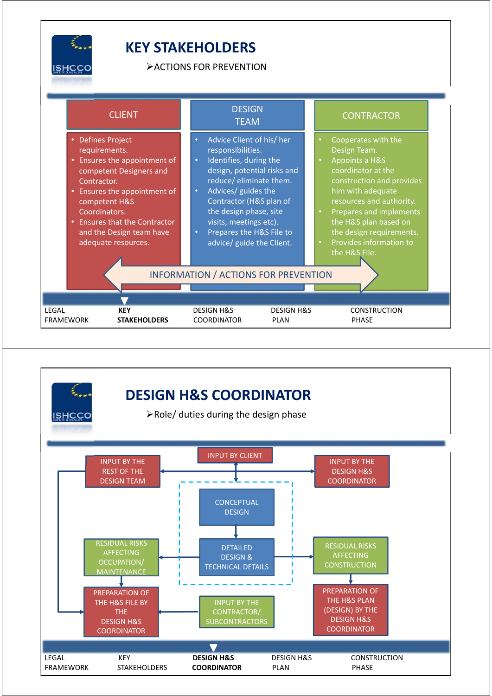

#### **KEY STAKEHOLDERS**

ACTIONS FOR PREVENTION

| <b>CLIENT</b>                                                                                                                                                                                                                                                              | <b>DESIGN</b><br><b>TEAM</b>                                                                                                                                                                                                                                                                                                                                                                         | <b>CONTRACTOR</b>                                                                                                                                                                                                                                                                                               |
|----------------------------------------------------------------------------------------------------------------------------------------------------------------------------------------------------------------------------------------------------------------------------|------------------------------------------------------------------------------------------------------------------------------------------------------------------------------------------------------------------------------------------------------------------------------------------------------------------------------------------------------------------------------------------------------|-----------------------------------------------------------------------------------------------------------------------------------------------------------------------------------------------------------------------------------------------------------------------------------------------------------------|
| <b>Defines Project</b><br>requirements.<br>Ensures the appointment of<br>competent Designers and<br>Contractor.<br>• Ensures the appointment of<br>competent H&S<br>Coordinators.<br><b>Ensures that the Contractor</b><br>and the Design team have<br>adequate resources. | Advice Client of his/ her<br>$\bullet$<br>responsibilities.<br>Identifies, during the<br>$\bullet$<br>design, potential risks and<br>reduce/ eliminate them.<br>Advices/ guides the<br>$\bullet$<br>Contractor (H&S plan of<br>the design phase, site<br>visits, meetings etc).<br>Prepares the H&S File to<br>$\bullet$<br>advice/ guide the Client.<br><b>INFORMATION / ACTIONS FOR PREVENTION</b> | Cooperates with the<br>Design Team.<br>Appoints a H&S<br>coordinator at the<br>construction and provides<br>him with adequate<br>resources and authority.<br>Prepares and implements<br>$\bullet$<br>the H&S plan based on<br>the design requirements.<br>Provides information to<br>$\bullet$<br>the H&S File. |
|                                                                                                                                                                                                                                                                            |                                                                                                                                                                                                                                                                                                                                                                                                      |                                                                                                                                                                                                                                                                                                                 |
| LEGAL<br><b>KEY</b><br><b>FRAMEWORK</b><br><b>STAKEHOLDERS</b>                                                                                                                                                                                                             | <b>DESIGN H&amp;S</b><br><b>DESIGN H&amp;S</b><br><b>COORDINATOR</b><br><b>PLAN</b>                                                                                                                                                                                                                                                                                                                  | <b>CONSTRUCTION</b><br><b>PHASE</b>                                                                                                                                                                                                                                                                             |

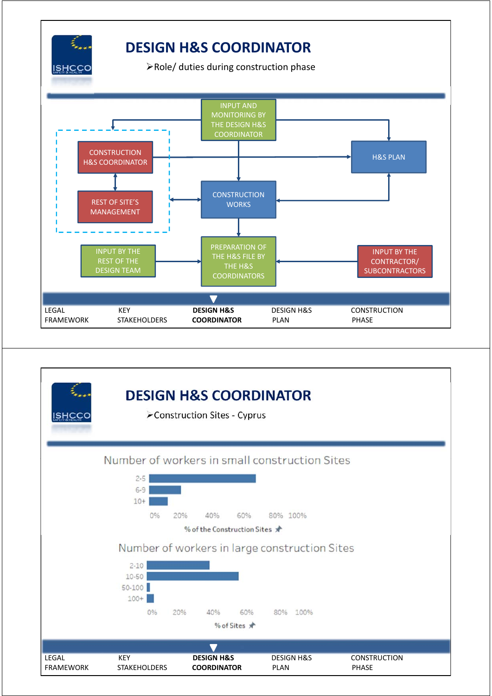

## **DESIGN H&S COORDINATOR**

 $\blacktriangleright$  Role/ duties during construction phase



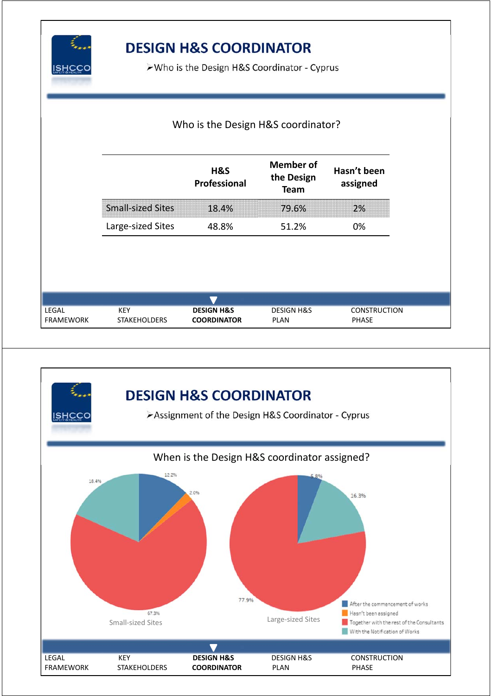

## **DESIGN H&S COORDINATOR**

Who is the Design H&S Coordinator ‐ Cyprus

|                                  |                                   | Who is the Design H&S coordinator?          |                                               |                                     |  |  |
|----------------------------------|-----------------------------------|---------------------------------------------|-----------------------------------------------|-------------------------------------|--|--|
|                                  |                                   | H&S<br>Professional                         | <b>Member of</b><br>the Design<br><b>Team</b> | Hasn't been<br>assigned             |  |  |
|                                  | <b>Small-sized Sites</b>          | 18.4%                                       | 79.6%                                         | 2%                                  |  |  |
|                                  | Large-sized Sites                 | 48.8%                                       | 51.2%                                         | 0%                                  |  |  |
|                                  |                                   |                                             |                                               |                                     |  |  |
|                                  |                                   |                                             |                                               |                                     |  |  |
| <b>LEGAL</b><br><b>FRAMEWORK</b> | <b>KEY</b><br><b>STAKEHOLDERS</b> | <b>DESIGN H&amp;S</b><br><b>COORDINATOR</b> | <b>DESIGN H&amp;S</b><br><b>PLAN</b>          | <b>CONSTRUCTION</b><br><b>PHASE</b> |  |  |

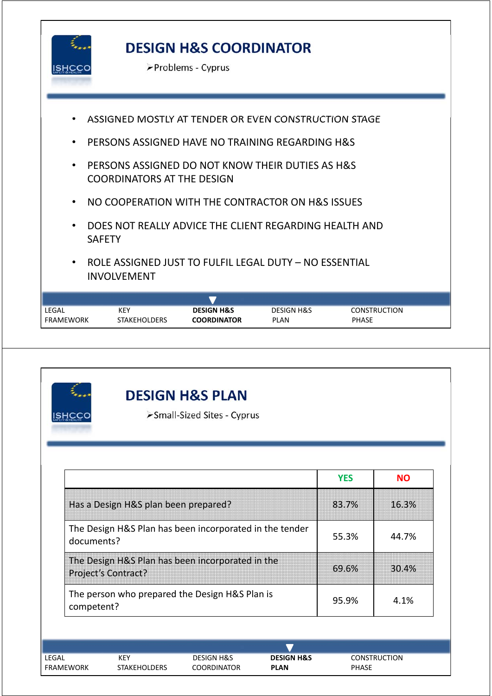

## **DESIGN H&S COORDINATOR**

Problems ‐ Cyprus



| <b>ISHCCC</b> |                                      | <b>DESIGN H&amp;S PLAN</b><br>>Small-Sized Sites - Cyprus |                       |            |                     |
|---------------|--------------------------------------|-----------------------------------------------------------|-----------------------|------------|---------------------|
|               |                                      |                                                           |                       |            |                     |
|               |                                      |                                                           |                       | <b>YES</b> | <b>NO</b>           |
|               | Has a Design H&S plan been prepared? |                                                           |                       | 83.7%      | 16.3%               |
| documents?    |                                      | The Design H&S Plan has been incorporated in the tender   |                       | 55.3%      | 44.7%               |
|               | Project's Contract?                  | The Design H&S Plan has been incorporated in the          |                       | 69.6%      | 30.4%               |
| competent?    |                                      | The person who prepared the Design H&S Plan is            |                       | 95.9%      | 4.1%                |
|               |                                      |                                                           |                       |            |                     |
| LEGAL         | <b>KEY</b>                           | <b>DESIGN H&amp;S</b>                                     | <b>DESIGN H&amp;S</b> |            | <b>CONSTRUCTION</b> |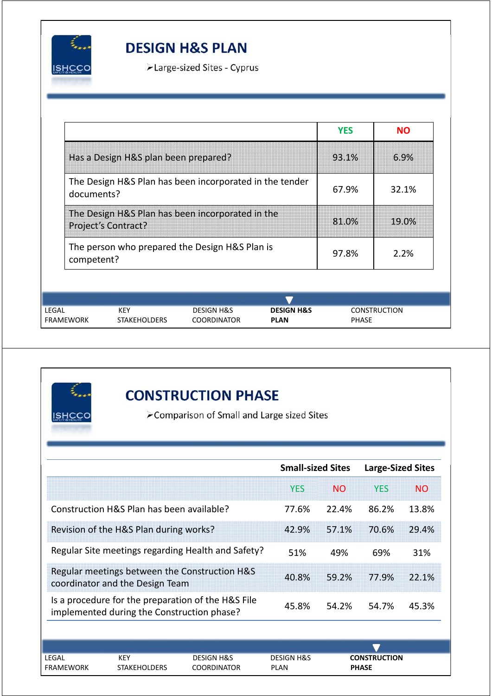

#### **DESIGN H&S PLAN**

Large‐sized Sites ‐ Cyprus

|                                                                       |                                                                         |                                                                                                            |       | <b>YES</b>   | <b>NO</b>           |
|-----------------------------------------------------------------------|-------------------------------------------------------------------------|------------------------------------------------------------------------------------------------------------|-------|--------------|---------------------|
|                                                                       | Has a Design H&S plan been prepared?                                    |                                                                                                            |       | 93.1%        | 6.9%                |
| The Design H&S Plan has been incorporated in the tender<br>documents? |                                                                         |                                                                                                            |       | 67.9%        | 32.1%               |
|                                                                       | The Design H&S Plan has been incorporated in the<br>Project's Contract? |                                                                                                            | 81.0% | 19.0%        |                     |
| The person who prepared the Design H&S Plan is<br>competent?          |                                                                         |                                                                                                            |       | 97.8%        | 2.2%                |
|                                                                       |                                                                         |                                                                                                            |       |              |                     |
| LEGAL<br><b>FRAMEWORK</b>                                             | <b>KEY</b>                                                              | <b>DESIGN H&amp;S</b><br><b>DESIGN H&amp;S</b><br><b>COORDINATOR</b><br><b>STAKEHOLDERS</b><br><b>PLAN</b> |       | <b>PHASE</b> | <b>CONSTRUCTION</b> |



#### **CONSTRUCTION PHASE**

Comparison of Small and Large sized Sites

|                                                                                  |                                            |                                                    | <b>Small-sized Sites</b>             |                | <b>Large-Sized Sites</b>            |           |
|----------------------------------------------------------------------------------|--------------------------------------------|----------------------------------------------------|--------------------------------------|----------------|-------------------------------------|-----------|
|                                                                                  |                                            |                                                    | <b>YES</b>                           | <b>NO</b>      | <b>YES</b>                          | <b>NO</b> |
|                                                                                  | Construction H&S Plan has been available?  |                                                    | 77.6%                                | 22.4%          | 86.2%                               | 13.8%     |
|                                                                                  | Revision of the H&S Plan during works?     |                                                    | 42.9%                                | 57.1%          | 70.6%                               | 29.4%     |
| Regular Site meetings regarding Health and Safety?                               |                                            |                                                    | 51%                                  | 49%            | 69%                                 | 31%       |
| Regular meetings between the Construction H&S<br>coordinator and the Design Team |                                            | 40.8%                                              | 59.2%                                | 77.9%          | 22.1%                               |           |
|                                                                                  | implemented during the Construction phase? | Is a procedure for the preparation of the H&S File | 45.8%                                | 54.2%<br>54.7% |                                     | 45.3%     |
|                                                                                  |                                            |                                                    |                                      |                |                                     |           |
|                                                                                  |                                            |                                                    |                                      |                |                                     |           |
| LEGAL<br><b>FRAMEWORK</b>                                                        | <b>KEY</b><br><b>STAKEHOLDERS</b>          | <b>DESIGN H&amp;S</b><br><b>COORDINATOR</b>        | <b>DESIGN H&amp;S</b><br><b>PLAN</b> |                | <b>CONSTRUCTION</b><br><b>PHASE</b> |           |